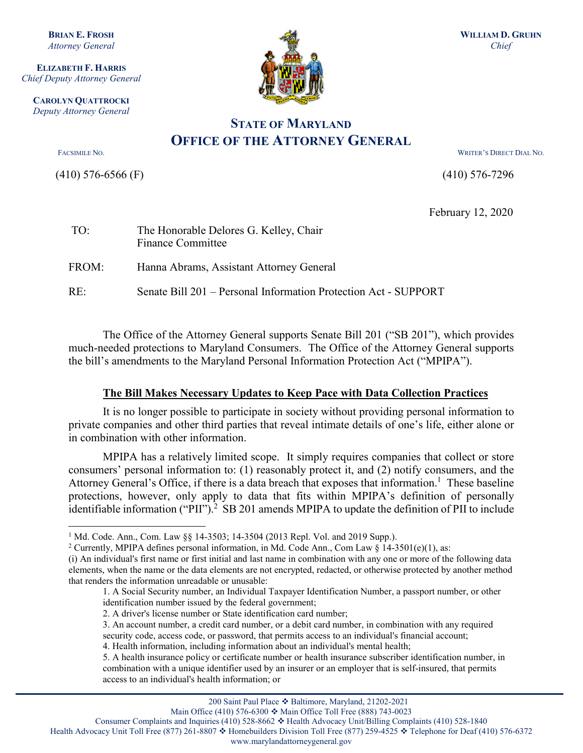**BRIAN E. FROSH** *Attorney General*

**ELIZABETH F. HARRIS** *Chief Deputy Attorney General*

**CAROLYN QUATTROCKI** *Deputy Attorney General*

**.** 

(410) 576-6566 (F) (410) 576-7296



**STATE OF MARYLAND OFFICE OF THE ATTORNEY GENERAL** 

FACSIMILE NO. WRITER'S DIRECT DIAL NO.

February 12, 2020

| TO:   | The Honorable Delores G. Kelley, Chair<br><b>Finance Committee</b> |
|-------|--------------------------------------------------------------------|
| FROM: | Hanna Abrams, Assistant Attorney General                           |
| RE:   | Senate Bill 201 – Personal Information Protection Act - SUPPORT    |

The Office of the Attorney General supports Senate Bill 201 ("SB 201"), which provides much-needed protections to Maryland Consumers. The Office of the Attorney General supports the bill's amendments to the Maryland Personal Information Protection Act ("MPIPA").

## **The Bill Makes Necessary Updates to Keep Pace with Data Collection Practices**

It is no longer possible to participate in society without providing personal information to private companies and other third parties that reveal intimate details of one's life, either alone or in combination with other information.

MPIPA has a relatively limited scope. It simply requires companies that collect or store consumers' personal information to: (1) reasonably protect it, and (2) notify consumers, and the Attorney General's Office, if there is a data breach that exposes that information.<sup>1</sup> These baseline protections, however, only apply to data that fits within MPIPA's definition of personally identifiable information ("PII").<sup>2</sup> SB 201 amends MPIPA to update the definition of PII to include

Main Office (410) 576-6300  $\div$  Main Office Toll Free (888) 743-0023

Health Advocacy Unit Toll Free (877) 261-8807  $\div$  Homebuilders Division Toll Free (877) 259-4525  $\div$  Telephone for Deaf (410) 576-6372

www.marylandattorneygeneral.gov

<sup>&</sup>lt;sup>1</sup> Md. Code. Ann., Com. Law §§ 14-3503; 14-3504 (2013 Repl. Vol. and 2019 Supp.).<br><sup>2</sup> Currently, MPIPA defines personal information, in Md. Code Ann., Com Law § 14-3501(e)(1), as:

<sup>(</sup>i) An individual's first name or first initial and last name in combination with any one or more of the following data elements, when the name or the data elements are not encrypted, redacted, or otherwise protected by another method that renders the information unreadable or unusable:

<sup>1.</sup> A Social Security number, an Individual Taxpayer Identification Number, a passport number, or other identification number issued by the federal government;

<sup>2.</sup> A driver's license number or State identification card number;

<sup>3.</sup> An account number, a credit card number, or a debit card number, in combination with any required security code, access code, or password, that permits access to an individual's financial account;

<sup>4.</sup> Health information, including information about an individual's mental health;

<sup>5.</sup> A health insurance policy or certificate number or health insurance subscriber identification number, in combination with a unique identifier used by an insurer or an employer that is self-insured, that permits access to an individual's health information; or

Consumer Complaints and Inquiries (410) 528-8662  $\div$  Health Advocacy Unit/Billing Complaints (410) 528-1840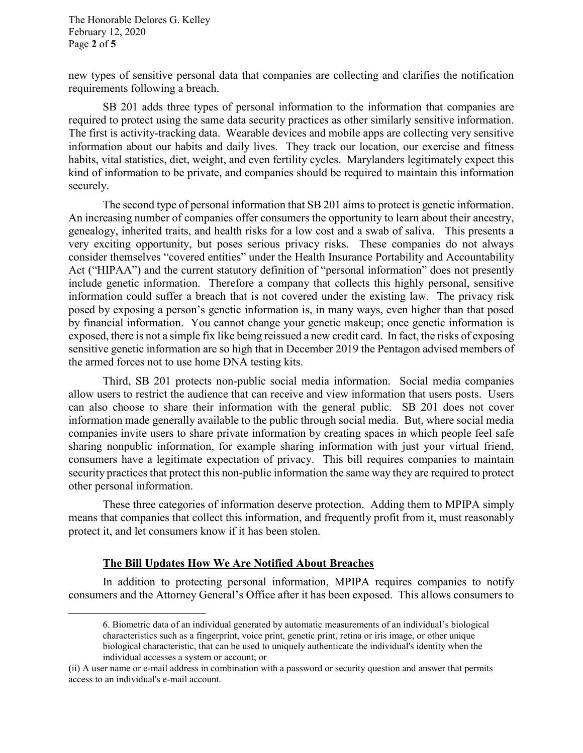The Honorable Delores G. Kelley February 12, 2020 Page **2** of **5**

new types of sensitive personal data that companies are collecting and clarifies the notification requirements following a breach.

SB 201 adds three types of personal information to the information that companies are required to protect using the same data security practices as other similarly sensitive information. The first is activity-tracking data. Wearable devices and mobile apps are collecting very sensitive information about our habits and daily lives. They track our location, our exercise and fitness habits, vital statistics, diet, weight, and even fertility cycles. Marylanders legitimately expect this kind of information to be private, and companies should be required to maintain this information securely.

The second type of personal information that SB 201 aims to protect is genetic information. An increasing number of companies offer consumers the opportunity to learn about their ancestry, genealogy, inherited traits, and health risks for a low cost and a swab of saliva. This presents a very exciting opportunity, but poses serious privacy risks. These companies do not always consider themselves "covered entities" under the Health Insurance Portability and Accountability Act ("HIPAA") and the current statutory definition of "personal information" does not presently include genetic information. Therefore a company that collects this highly personal, sensitive information could suffer a breach that is not covered under the existing law. The privacy risk posed by exposing a person's genetic information is, in many ways, even higher than that posed by financial information. You cannot change your genetic makeup; once genetic information is exposed, there is not a simple fix like being reissued a new credit card. In fact, the risks of exposing sensitive genetic information are so high that in December 2019 the Pentagon advised members of the armed forces not to use home DNA testing kits.

Third, SB 201 protects non-public social media information. Social media companies allow users to restrict the audience that can receive and view information that users posts. Users can also choose to share their information with the general public. SB 201 does not cover information made generally available to the public through social media. But, where social media companies invite users to share private information by creating spaces in which people feel safe sharing nonpublic information, for example sharing information with just your virtual friend, consumers have a legitimate expectation of privacy. This bill requires companies to maintain security practices that protect this non-public information the same way they are required to protect other personal information.

These three categories of information deserve protection. Adding them to MPIPA simply means that companies that collect this information, and frequently profit from it, must reasonably protect it, and let consumers know if it has been stolen.

## **The Bill Updates How We Are Notified About Breaches**

 $\overline{a}$ 

In addition to protecting personal information, MPIPA requires companies to notify consumers and the Attorney General's Office after it has been exposed. This allows consumers to

<sup>6.</sup> Biometric data of an individual generated by automatic measurements of an individual's biological characteristics such as a fingerprint, voice print, genetic print, retina or iris image, or other unique biological characteristic, that can be used to uniquely authenticate the individual's identity when the individual accesses a system or account; or

<sup>(</sup>ii) A user name or e-mail address in combination with a password or security question and answer that permits access to an individual's e-mail account.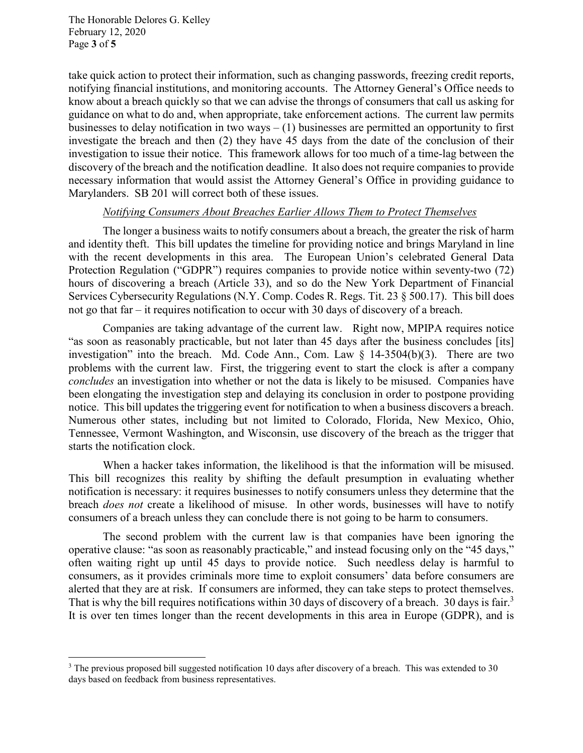The Honorable Delores G. Kelley February 12, 2020 Page **3** of **5**

**.** 

take quick action to protect their information, such as changing passwords, freezing credit reports, notifying financial institutions, and monitoring accounts. The Attorney General's Office needs to know about a breach quickly so that we can advise the throngs of consumers that call us asking for guidance on what to do and, when appropriate, take enforcement actions. The current law permits businesses to delay notification in two ways  $- (1)$  businesses are permitted an opportunity to first investigate the breach and then (2) they have 45 days from the date of the conclusion of their investigation to issue their notice. This framework allows for too much of a time-lag between the discovery of the breach and the notification deadline. It also does not require companies to provide necessary information that would assist the Attorney General's Office in providing guidance to Marylanders. SB 201 will correct both of these issues.

## *Notifying Consumers About Breaches Earlier Allows Them to Protect Themselves*

The longer a business waits to notify consumers about a breach, the greater the risk of harm and identity theft. This bill updates the timeline for providing notice and brings Maryland in line with the recent developments in this area. The European Union's celebrated General Data Protection Regulation ("GDPR") requires companies to provide notice within seventy-two (72) hours of discovering a breach (Article 33), and so do the New York Department of Financial Services Cybersecurity Regulations (N.Y. Comp. Codes R. Regs. Tit. 23 § 500.17). This bill does not go that far – it requires notification to occur with 30 days of discovery of a breach.

Companies are taking advantage of the current law. Right now, MPIPA requires notice "as soon as reasonably practicable, but not later than 45 days after the business concludes [its] investigation" into the breach. Md. Code Ann., Com. Law  $\S$  14-3504(b)(3). There are two problems with the current law. First, the triggering event to start the clock is after a company *concludes* an investigation into whether or not the data is likely to be misused. Companies have been elongating the investigation step and delaying its conclusion in order to postpone providing notice. This bill updates the triggering event for notification to when a business discovers a breach. Numerous other states, including but not limited to Colorado, Florida, New Mexico, Ohio, Tennessee, Vermont Washington, and Wisconsin, use discovery of the breach as the trigger that starts the notification clock.

When a hacker takes information, the likelihood is that the information will be misused. This bill recognizes this reality by shifting the default presumption in evaluating whether notification is necessary: it requires businesses to notify consumers unless they determine that the breach *does not* create a likelihood of misuse. In other words, businesses will have to notify consumers of a breach unless they can conclude there is not going to be harm to consumers.

The second problem with the current law is that companies have been ignoring the operative clause: "as soon as reasonably practicable," and instead focusing only on the "45 days," often waiting right up until 45 days to provide notice. Such needless delay is harmful to consumers, as it provides criminals more time to exploit consumers' data before consumers are alerted that they are at risk. If consumers are informed, they can take steps to protect themselves. That is why the bill requires notifications within 30 days of discovery of a breach. 30 days is fair.<sup>3</sup> It is over ten times longer than the recent developments in this area in Europe (GDPR), and is

 $3$  The previous proposed bill suggested notification 10 days after discovery of a breach. This was extended to 30 days based on feedback from business representatives.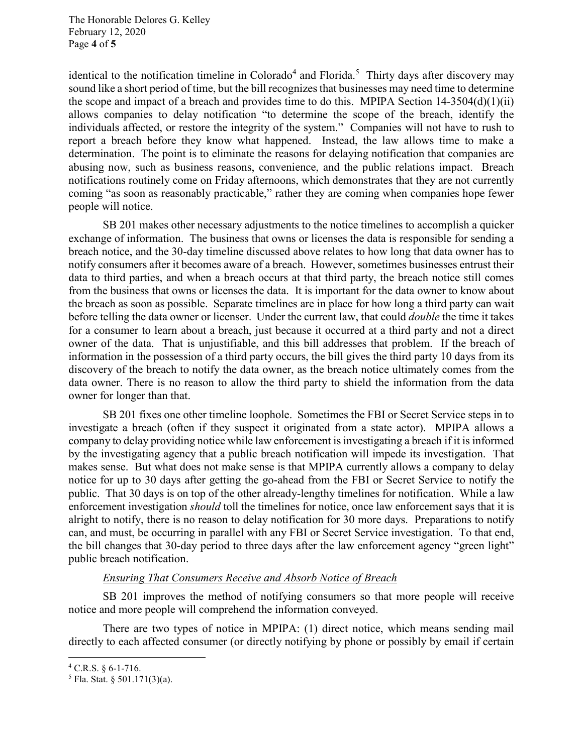The Honorable Delores G. Kelley February 12, 2020 Page **4** of **5**

identical to the notification timeline in Colorado<sup>4</sup> and Florida.<sup>5</sup> Thirty days after discovery may sound like a short period of time, but the bill recognizes that businesses may need time to determine the scope and impact of a breach and provides time to do this. MPIPA Section 14-3504(d)(1)(ii) allows companies to delay notification "to determine the scope of the breach, identify the individuals affected, or restore the integrity of the system." Companies will not have to rush to report a breach before they know what happened. Instead, the law allows time to make a determination. The point is to eliminate the reasons for delaying notification that companies are abusing now, such as business reasons, convenience, and the public relations impact. Breach notifications routinely come on Friday afternoons, which demonstrates that they are not currently coming "as soon as reasonably practicable," rather they are coming when companies hope fewer people will notice.

SB 201 makes other necessary adjustments to the notice timelines to accomplish a quicker exchange of information. The business that owns or licenses the data is responsible for sending a breach notice, and the 30-day timeline discussed above relates to how long that data owner has to notify consumers after it becomes aware of a breach. However, sometimes businesses entrust their data to third parties, and when a breach occurs at that third party, the breach notice still comes from the business that owns or licenses the data. It is important for the data owner to know about the breach as soon as possible. Separate timelines are in place for how long a third party can wait before telling the data owner or licenser. Under the current law, that could *double* the time it takes for a consumer to learn about a breach, just because it occurred at a third party and not a direct owner of the data. That is unjustifiable, and this bill addresses that problem. If the breach of information in the possession of a third party occurs, the bill gives the third party 10 days from its discovery of the breach to notify the data owner, as the breach notice ultimately comes from the data owner. There is no reason to allow the third party to shield the information from the data owner for longer than that.

SB 201 fixes one other timeline loophole. Sometimes the FBI or Secret Service steps in to investigate a breach (often if they suspect it originated from a state actor). MPIPA allows a company to delay providing notice while law enforcement is investigating a breach if it is informed by the investigating agency that a public breach notification will impede its investigation. That makes sense. But what does not make sense is that MPIPA currently allows a company to delay notice for up to 30 days after getting the go-ahead from the FBI or Secret Service to notify the public. That 30 days is on top of the other already-lengthy timelines for notification. While a law enforcement investigation *should* toll the timelines for notice, once law enforcement says that it is alright to notify, there is no reason to delay notification for 30 more days. Preparations to notify can, and must, be occurring in parallel with any FBI or Secret Service investigation. To that end, the bill changes that 30-day period to three days after the law enforcement agency "green light" public breach notification.

## *Ensuring That Consumers Receive and Absorb Notice of Breach*

SB 201 improves the method of notifying consumers so that more people will receive notice and more people will comprehend the information conveyed.

There are two types of notice in MPIPA: (1) direct notice, which means sending mail directly to each affected consumer (or directly notifying by phone or possibly by email if certain

**.** 

 $4$  C.R.S. § 6-1-716.

 $5$  Fla. Stat. § 501.171(3)(a).